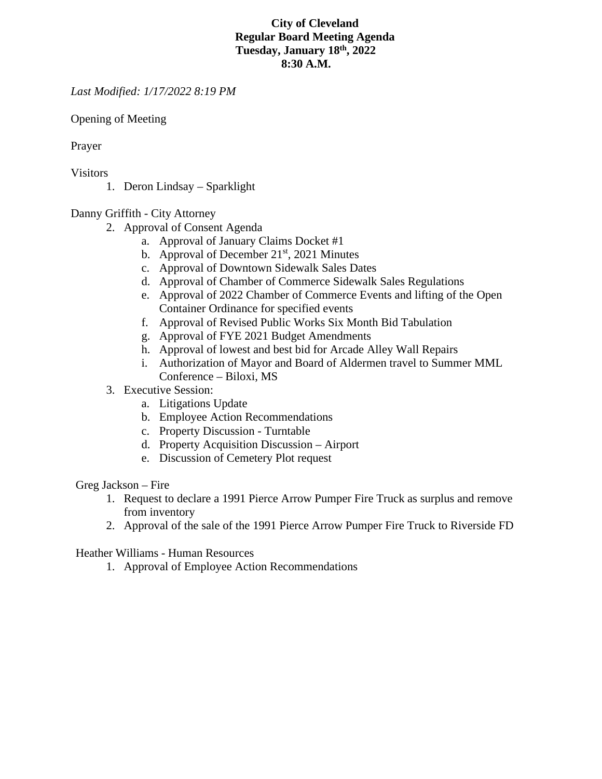## **City of Cleveland Regular Board Meeting Agenda Tuesday, January 18th, 2022 8:30 A.M.**

*Last Modified: 1/17/2022 8:19 PM*

Opening of Meeting

Prayer

Visitors

1. Deron Lindsay – Sparklight

Danny Griffith - City Attorney

- 2. Approval of Consent Agenda
	- a. Approval of January Claims Docket #1
	- b. Approval of December  $21<sup>st</sup>$ , 2021 Minutes
	- c. Approval of Downtown Sidewalk Sales Dates
	- d. Approval of Chamber of Commerce Sidewalk Sales Regulations
	- e. Approval of 2022 Chamber of Commerce Events and lifting of the Open Container Ordinance for specified events
	- f. Approval of Revised Public Works Six Month Bid Tabulation
	- g. Approval of FYE 2021 Budget Amendments
	- h. Approval of lowest and best bid for Arcade Alley Wall Repairs
	- i. Authorization of Mayor and Board of Aldermen travel to Summer MML Conference – Biloxi, MS
- 3. Executive Session:
	- a. Litigations Update
	- b. Employee Action Recommendations
	- c. Property Discussion Turntable
	- d. Property Acquisition Discussion Airport
	- e. Discussion of Cemetery Plot request

Greg Jackson – Fire

- 1. Request to declare a 1991 Pierce Arrow Pumper Fire Truck as surplus and remove from inventory
- 2. Approval of the sale of the 1991 Pierce Arrow Pumper Fire Truck to Riverside FD

Heather Williams - Human Resources

1. Approval of Employee Action Recommendations